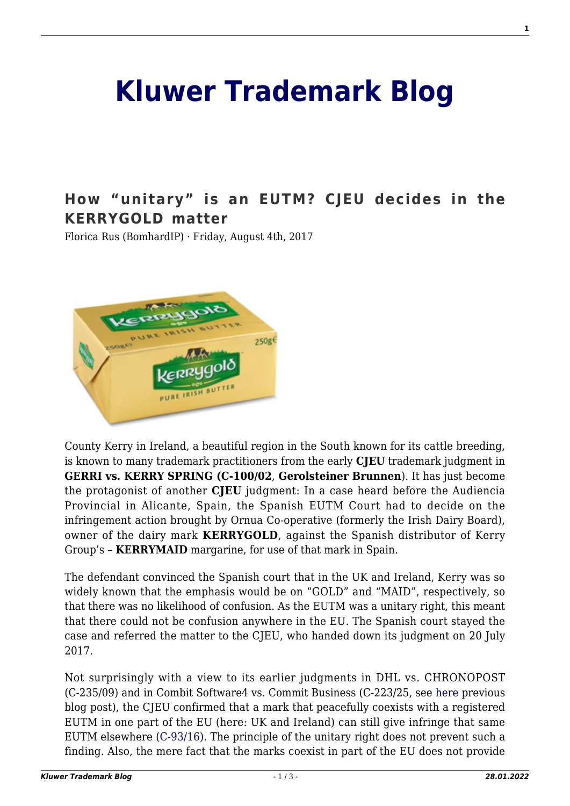## **[Kluwer Trademark Blog](http://trademarkblog.kluweriplaw.com/)**

## **[How "unitary" is an EUTM? CJEU decides in the](http://trademarkblog.kluweriplaw.com/2017/08/04/unitary-eutm-cjeu-decides-kerrygold-matter/) [KERRYGOLD matter](http://trademarkblog.kluweriplaw.com/2017/08/04/unitary-eutm-cjeu-decides-kerrygold-matter/)**

Florica Rus (BomhardIP) · Friday, August 4th, 2017



County Kerry in Ireland, a beautiful region in the South known for its cattle breeding, is known to many trademark practitioners from the early **CJEU** trademark judgment in **GERRI vs. KERRY SPRING (C-100/02**, **Gerolsteiner Brunnen**). It has just become the protagonist of another **CJEU** judgment: In a case heard before the Audiencia Provincial in Alicante, Spain, the Spanish EUTM Court had to decide on the infringement action brought by Ornua Co-operative (formerly the Irish Dairy Board), owner of the dairy mark **KERRYGOLD**, against the Spanish distributor of Kerry Group's – **KERRYMAID** margarine, for use of that mark in Spain.

The defendant convinced the Spanish court that in the UK and Ireland, Kerry was so widely known that the emphasis would be on "GOLD" and "MAID", respectively, so that there was no likelihood of confusion. As the EUTM was a unitary right, this meant that there could not be confusion anywhere in the EU. The Spanish court stayed the case and referred the matter to the CJEU, who handed down its judgment on 20 July 2017.

Not surprisingly with a view to its earlier judgments in DHL vs. CHRONOPOST (C-235/09) and in Combit Software4 vs. Commit Business (C-223/25, see [here](http://trademarkblog.kluweriplaw.com/2016/12/12/the-eutm-has-unitary-effects-with-exceptions-proving-the-rule-combit-and-kerrygold/) previous blog post), the CJEU confirmed that a mark that peacefully coexists with a registered EUTM in one part of the EU (here: UK and Ireland) can still give infringe that same EUTM elsewhere ([C-93/16\)](http://curia.europa.eu/juris/document/document.jsf?text=&docid=193036&pageIndex=0&doclang=EN&mode=lst&dir=&occ=first&part=1&cid=194576). The principle of the unitary right does not prevent such a finding. Also, the mere fact that the marks coexist in part of the EU does not provide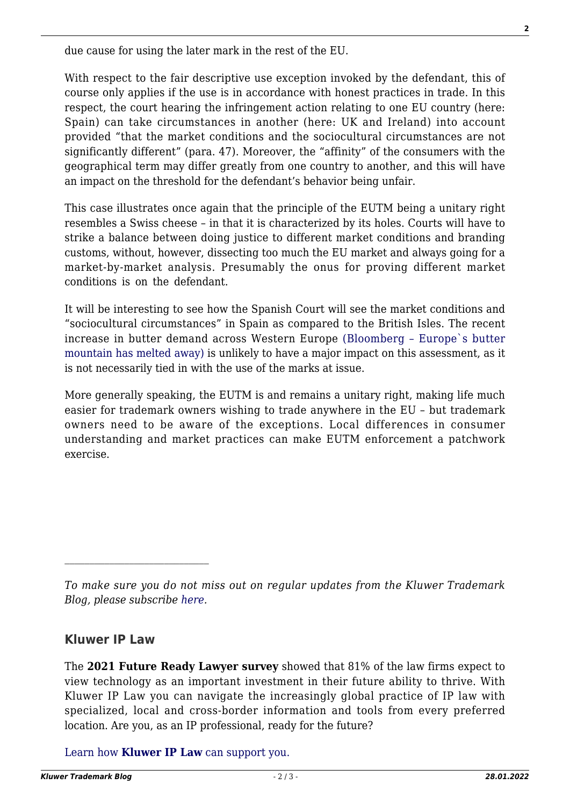due cause for using the later mark in the rest of the EU.

With respect to the fair descriptive use exception invoked by the defendant, this of course only applies if the use is in accordance with honest practices in trade. In this respect, the court hearing the infringement action relating to one EU country (here: Spain) can take circumstances in another (here: UK and Ireland) into account provided "that the market conditions and the sociocultural circumstances are not significantly different" (para. 47). Moreover, the "affinity" of the consumers with the geographical term may differ greatly from one country to another, and this will have an impact on the threshold for the defendant's behavior being unfair.

This case illustrates once again that the principle of the EUTM being a unitary right resembles a Swiss cheese – in that it is characterized by its holes. Courts will have to strike a balance between doing justice to different market conditions and branding customs, without, however, dissecting too much the EU market and always going for a market-by-market analysis. Presumably the onus for proving different market conditions is on the defendant.

It will be interesting to see how the Spanish Court will see the market conditions and "sociocultural circumstances" in Spain as compared to the British Isles. The recent increase in butter demand across Western Europe [\(Bloomberg – Europe`s butter](https://www.bloomberg.com/news/articles/2017-07-27/europeans-eat-into-butter-mountain-in-sign-high-prices-to-linger) [mountain has melted away\)](https://www.bloomberg.com/news/articles/2017-07-27/europeans-eat-into-butter-mountain-in-sign-high-prices-to-linger) is unlikely to have a major impact on this assessment, as it is not necessarily tied in with the use of the marks at issue.

More generally speaking, the EUTM is and remains a unitary right, making life much easier for trademark owners wishing to trade anywhere in the EU – but trademark owners need to be aware of the exceptions. Local differences in consumer understanding and market practices can make EUTM enforcement a patchwork exercise.

## **Kluwer IP Law**

The **2021 Future Ready Lawyer survey** showed that 81% of the law firms expect to view technology as an important investment in their future ability to thrive. With Kluwer IP Law you can navigate the increasingly global practice of IP law with specialized, local and cross-border information and tools from every preferred location. Are you, as an IP professional, ready for the future?

[Learn how](https://www.wolterskluwer.com/en/solutions/kluweriplaw?utm_source=trademarkblog&utm_medium=articleCTA&utm_campaign=article-banner) **[Kluwer IP Law](https://www.wolterskluwer.com/en/solutions/kluweriplaw?utm_source=trademarkblog&utm_medium=articleCTA&utm_campaign=article-banner)** [can support you.](https://www.wolterskluwer.com/en/solutions/kluweriplaw?utm_source=trademarkblog&utm_medium=articleCTA&utm_campaign=article-banner)

*To make sure you do not miss out on regular updates from the Kluwer Trademark Blog, please subscribe [here](http://trademarkblog.kluweriplaw.com/newsletter/).*